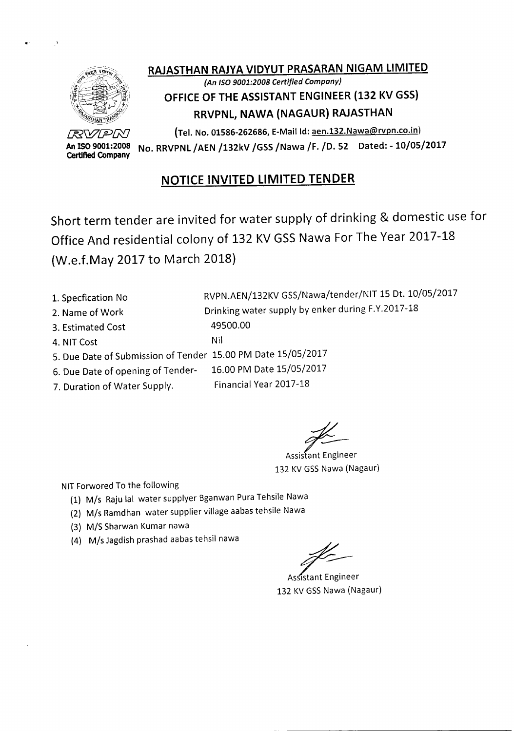

# RAJASTHAN RAJYA VIDYUT PRASARAN NIGAM LIMITED

### *(An ISO9001:2008 Certified Company)* OFFICE OF THE ASSISTANT ENGINEER (132 KV GSS) RRVPNL, NAWA (NAGAUR) RAJASTHAN

*~WfY:J[j:D* (Tel. No. 01586-262686, E-Mailld:aen.132.Nawa@rvpn.co.in) An ISO 9001:2008 No. RRVPNL / AEN / 132kV / GSS / Nawa / F. / D. 52 Dated: - 10/05/2017<br>Certified Company

### NOTICE INVITED LIMITED TENDER

Short term tender are invited for water supply of drinking & domestic use for Office And residential colony of 132 KV GSS Nawa For The Year 2017-18 (W.e.f.May 2017 to March 2018)

1. Specfication No 2. Name of Work 3. Estimated Cost 4. NIT Cost RVPN.AEN/132KV GSS/Nawa/tender/NIT 15 Dt. 10/05/2017 Drinking water supply by enker during F.Y.2017-18 49500.00 Nil 5. Due Date of Submission of Tender 15.00 PM Date 15/05/2017 6. Due Date of opening of Tender- 16.00 PM Date 15/05/2017

7. Duration of Water Supply. Financial Year 2017-18

Assistant Engineer 132 KV GSS Nawa (Nagaur)

NIT Forwored To the following

- (1) *Mis* Rajulal water supplyer Bganwan PuraTehsile Nawa
- (2) *Mis* Ramdhan water supplier village aabastehsile Nawa
- *(3) MIS* Sharwan Kumar nawa
- (4) M/s Jagdish prashad aabas tehsil nawa

Assistant Engineer 132 KV GSS Nawa (Nagaur)